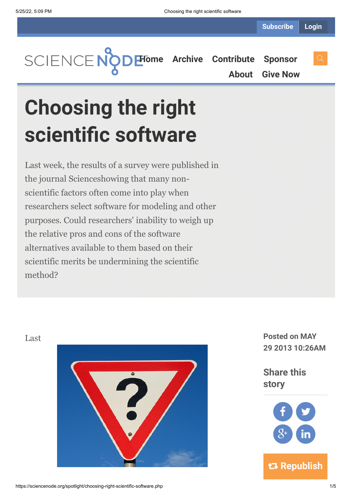**[Home](https://sciencenode.org/) [Archive](https://sciencenode.org/archive/index.php) [Contribute](https://sciencenode.org/contribute/index.php) [Sponsor](https://sciencenode.org/sponsor/index.php)**

**[About](https://sciencenode.org/about/index.php) [Give Now](https://sciencenode.org/donate/index.php)**

**Choosing the right scientific software**

Last week, the results of a survey were published in the journal Scienceshowing that many nonscientific factors often come into play when researchers select software for modeling and other purposes. Could researchers' inability to weigh up the relative pros and cons of the software alternatives available to them based on their scientific merits be undermining the scientific method?





**story** f **Y**  $8<sup>+</sup>$  (in

 **Republish**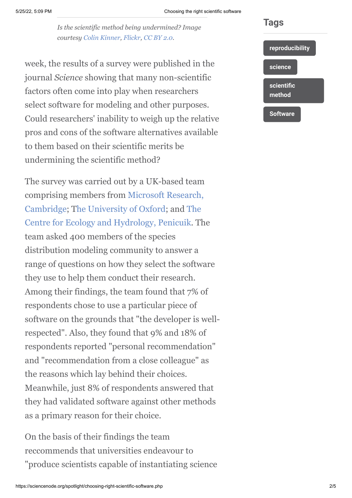### 5/25/22, 5:09 PM Choosing the right scientific software

*Is the scientific method being undermined? Image courtesy [Colin Kinner](http://www.flickr.com/photos/colinkinner/), [Flickr,](http://www.flickr.com/photos/colinkinner/2200500024/sizes/m/in/photostream/) [CC BY 2.0](http://creativecommons.org/licenses/by/2.0/).*

week, the results of a survey were published in the journal *Science* showing that many non-scientific factors often come into play when researchers select software for modeling and other purposes. Could researchers' inability to weigh up the relative pros and cons of the software alternatives available to them based on their scientific merits be undermining the scientific method?

The survey was carried out by a UK-based team [comprising members from Microsoft Research,](http://research.microsoft.com/en-us/labs/cambridge/) [Cambridge; The University of Oxford; and The](http://www.ceh.ac.uk/sites/edinburgh.html) Centre for Ecology and Hydrology, Penicuik. The team asked 400 members of the species distribution modeling community to answer a range of questions on how they select the software they use to help them conduct their research. Among their findings, the team found that 7% of respondents chose to use a particular piece of software on the grounds that "the developer is wellrespected". Also, they found that 9% and 18% of respondents reported "personal recommendation" and "recommendation from a close colleague" as the reasons which lay behind their choices. Meanwhile, just 8% of respondents answered that they had validated software against other methods as a primary reason for their choice.

On the basis of their findings the team reccommends that universities endeavour to "produce scientists capable of instantiating science



**Tags**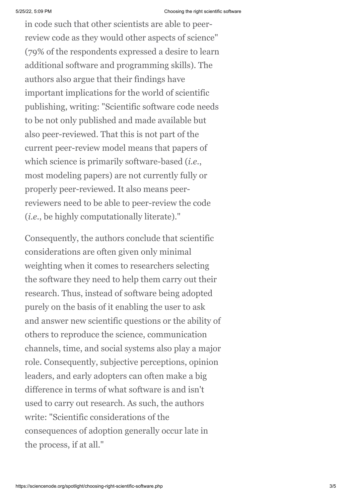in code such that other scientists are able to peerreview code as they would other aspects of science" (79% of the respondents expressed a desire to learn additional software and programming skills). The authors also argue that their findings have important implications for the world of scientific publishing, writing: "Scientific software code needs to be not only published and made available but also peer-reviewed. That this is not part of the current peer-review model means that papers of which science is primarily software-based (*i.e.*, most modeling papers) are not currently fully or properly peer-reviewed. It also means peerreviewers need to be able to peer-review the code (*i.e.*, be highly computationally literate)."

Consequently, the authors conclude that scientific considerations are often given only minimal weighting when it comes to researchers selecting the software they need to help them carry out their research. Thus, instead of software being adopted purely on the basis of it enabling the user to ask and answer new scientific questions or the ability of others to reproduce the science, communication channels, time, and social systems also play a major role. Consequently, subjective perceptions, opinion leaders, and early adopters can often make a big difference in terms of what software is and isn't used to carry out research. As such, the authors write: "Scientific considerations of the consequences of adoption generally occur late in the process, if at all."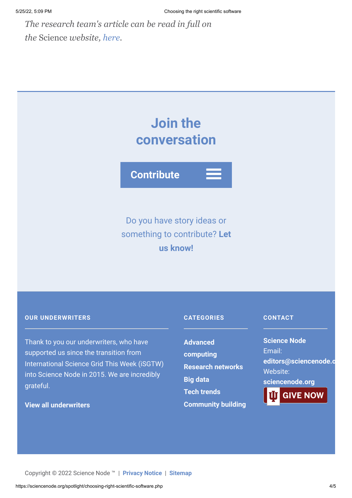*The research team's article can be read in full on the* Science *website, [here.](http://www.sciencemag.org/content/340/6134/814.full?rss=1&utm_source=feedly#aff-2)*

# **Join the conversation**

**Contribute**

# Do you have story ideas or something to contribute? **Let us know!**

## **OUR UNDERWRITERS**

Thank to you our underwriters, who have supported us since the transition from International Science Grid This Week (iSGTW) into Science Node in 2015. We are incredibly grateful.

# **[View all underwriters](https://sciencenode.org/about/index.php)**

# **CATEGORIES**

## **CONTACT**

**Advanced [computing](https://sciencenode.org/archive/?year=2016&category=Advanced%20computing) [Research networks](https://sciencenode.org/archive/?year=2016&category=Advanced%20computing&category=Research%20networks) [Big data](https://sciencenode.org/archive/?year=2016&category=Advanced%20computing&category=Research%20networks&category=Big%20data) [Tech trends](https://sciencenode.org/archive/?year=2016&category=Advanced%20computing&category=Research%20networks&category=Big%20data&category=Tech%20trends) [Community building](https://sciencenode.org/archive/?year=2016&category=Advanced%20computing&category=Research%20networks&category=Big%20data&category=Tech%20trends&category=Community%20building)** **Science Node** Email: **[editors@sciencenode.o](mailto:edit%6F%72s@s%63%69encenode.%6F%72%67)** Website: **[sciencenode.org](https://sciencenode.org/)**